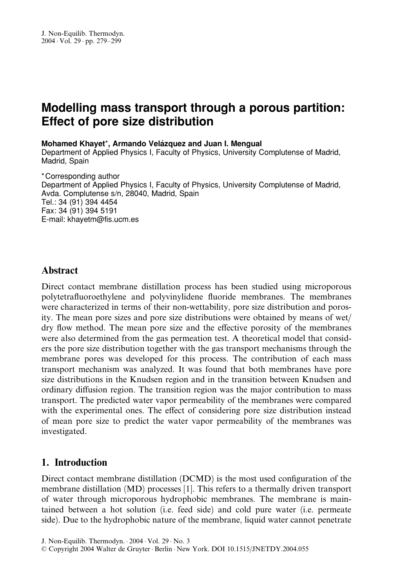# Modelling mass transport through a porous partition: Effect of pore size distribution

#### Mohamed Khayet\*, Armando Velázquez and Juan I. Mengual

Department of Applied Physics I, Faculty of Physics, University Complutense of Madrid, Madrid, Spain

\* Corresponding author Department of Applied Physics I, Faculty of Physics, University Complutense of Madrid, Avda. Complutense s/n, 28040, Madrid, Spain Tel.: 34 (91) 394 4454 Fax: 34 (91) 394 5191 E-mail: khayetm@fis.ucm.es

### **Abstract**

Direct contact membrane distillation process has been studied using microporous polytetrafluoroethylene and polyvinylidene fluoride membranes. The membranes were characterized in terms of their non-wettability, pore size distribution and porosity. The mean pore sizes and pore size distributions were obtained by means of wet/ dry flow method. The mean pore size and the effective porosity of the membranes were also determined from the gas permeation test. A theoretical model that considers the pore size distribution together with the gas transport mechanisms through the membrane pores was developed for this process. The contribution of each mass transport mechanism was analyzed. It was found that both membranes have pore size distributions in the Knudsen region and in the transition between Knudsen and ordinary diffusion region. The transition region was the major contribution to mass transport. The predicted water vapor permeability of the membranes were compared with the experimental ones. The effect of considering pore size distribution instead of mean pore size to predict the water vapor permeability of the membranes was investigated.

### 1. Introduction

Direct contact membrane distillation (DCMD) is the most used configuration of the membrane distillation (MD) processes [1]. This refers to a thermally driven transport of water through microporous hydrophobic membranes. The membrane is maintained between a hot solution (i.e. feed side) and cold pure water (i.e. permeate side). Due to the hydrophobic nature of the membrane, liquid water cannot penetrate

J. Non-Equilib. Thermodyn.  $.2004 \cdot$ Vol.  $29 \cdot$ No. 3

*<sup>6</sup>* Copyright 2004 Walter de Gruyter Berlin New York. DOI 10.1515/JNETDY.2004.055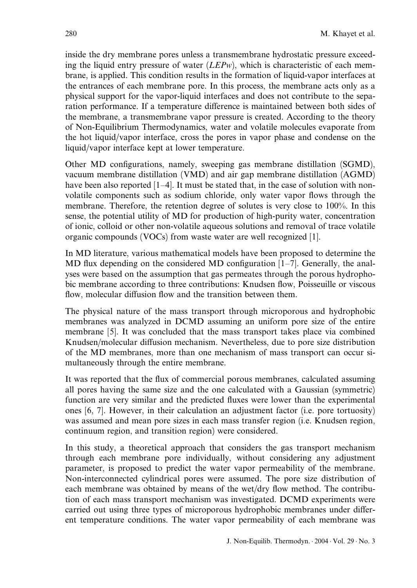inside the dry membrane pores unless a transmembrane hydrostatic pressure exceeding the liquid entry pressure of water  $(LEPw)$ , which is characteristic of each membrane, is applied. This condition results in the formation of liquid-vapor interfaces at the entrances of each membrane pore. In this process, the membrane acts only as a physical support for the vapor-liquid interfaces and does not contribute to the separation performance. If a temperature difference is maintained between both sides of the membrane, a transmembrane vapor pressure is created. According to the theory of Non-Equilibrium Thermodynamics, water and volatile molecules evaporate from the hot liquid/vapor interface, cross the pores in vapor phase and condense on the liquid/vapor interface kept at lower temperature.

Other MD configurations, namely, sweeping gas membrane distillation (SGMD), vacuum membrane distillation (VMD) and air gap membrane distillation (AGMD) have been also reported  $[1-4]$ . It must be stated that, in the case of solution with nonvolatile components such as sodium chloride, only water vapor flows through the membrane. Therefore, the retention degree of solutes is very close to 100%. In this sense, the potential utility of MD for production of high-purity water, concentration of ionic, colloid or other non-volatile aqueous solutions and removal of trace volatile organic compounds (VOCs) from waste water are well recognized [1].

In MD literature, various mathematical models have been proposed to determine the MD flux depending on the considered MD configuration [1–7]. Generally, the analyses were based on the assumption that gas permeates through the porous hydrophobic membrane according to three contributions: Knudsen flow, Poisseuille or viscous flow, molecular diffusion flow and the transition between them.

The physical nature of the mass transport through microporous and hydrophobic membranes was analyzed in DCMD assuming an uniform pore size of the entire membrane [5]. It was concluded that the mass transport takes place via combined Knudsen/molecular diffusion mechanism. Nevertheless, due to pore size distribution of the MD membranes, more than one mechanism of mass transport can occur simultaneously through the entire membrane.

It was reported that the flux of commercial porous membranes, calculated assuming all pores having the same size and the one calculated with a Gaussian (symmetric) function are very similar and the predicted fluxes were lower than the experimental ones [6, 7]. However, in their calculation an adjustment factor (i.e. pore tortuosity) was assumed and mean pore sizes in each mass transfer region (i.e. Knudsen region, continuum region, and transition region) were considered.

In this study, a theoretical approach that considers the gas transport mechanism through each membrane pore individually, without considering any adjustment parameter, is proposed to predict the water vapor permeability of the membrane. Non-interconnected cylindrical pores were assumed. The pore size distribution of each membrane was obtained by means of the wet/dry flow method. The contribution of each mass transport mechanism was investigated. DCMD experiments were carried out using three types of microporous hydrophobic membranes under different temperature conditions. The water vapor permeability of each membrane was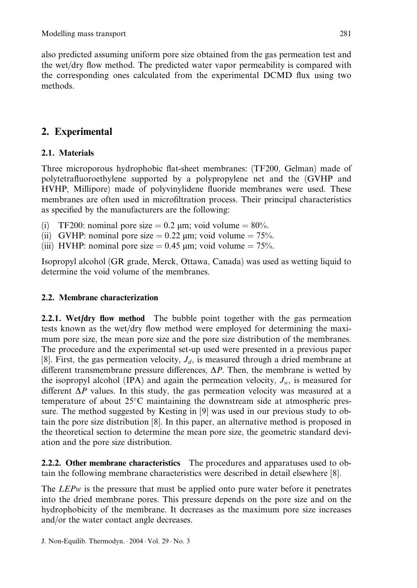also predicted assuming uniform pore size obtained from the gas permeation test and the wet/dry flow method. The predicted water vapor permeability is compared with the corresponding ones calculated from the experimental DCMD flux using two methods.

## 2. Experimental

## 2.1. Materials

Three microporous hydrophobic flat-sheet membranes: (TF200, Gelman) made of polytetrafluoroethylene supported by a polypropylene net and the (GVHP and HVHP, Millipore) made of polyvinylidene fluoride membranes were used. These membranes are often used in microfiltration process. Their principal characteristics as specified by the manufacturers are the following:

- (i) TF200: nominal pore size  $= 0.2$  µm; void volume  $= 80\%$ .
- (ii) GVHP: nominal pore size  $= 0.22$  µm; void volume  $= 75\%$ .
- (iii) HVHP: nominal pore size  $= 0.45$  µm; void volume  $= 75\%$ .

Isopropyl alcohol (GR grade, Merck, Ottawa, Canada) was used as wetting liquid to determine the void volume of the membranes.

### 2.2. Membrane characterization

2.2.1. Wet/dry flow method The bubble point together with the gas permeation tests known as the wet/dry flow method were employed for determining the maximum pore size, the mean pore size and the pore size distribution of the membranes. The procedure and the experimental set-up used were presented in a previous paper [8]. First, the gas permeation velocity,  $J_d$ , is measured through a dried membrane at different transmembrane pressure differences,  $\Delta P$ . Then, the membrane is wetted by the isopropyl alcohol (IPA) and again the permeation velocity,  $J_w$ , is measured for different  $\Delta P$  values. In this study, the gas permeation velocity was measured at a temperature of about 25°C maintaining the downstream side at atmospheric pressure. The method suggested by Kesting in [9] was used in our previous study to obtain the pore size distribution [8]. In this paper, an alternative method is proposed in the theoretical section to determine the mean pore size, the geometric standard deviation and the pore size distribution.

**2.2.2.** Other membrane characteristics The procedures and apparatuses used to obtain the following membrane characteristics were described in detail elsewhere [8].

The *LEPw* is the pressure that must be applied onto pure water before it penetrates into the dried membrane pores. This pressure depends on the pore size and on the hydrophobicity of the membrane. It decreases as the maximum pore size increases and/or the water contact angle decreases.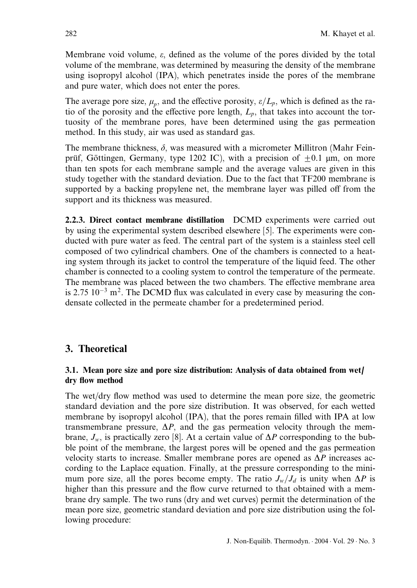Membrane void volume,  $\varepsilon$ , defined as the volume of the pores divided by the total volume of the membrane, was determined by measuring the density of the membrane using isopropyl alcohol (IPA), which penetrates inside the pores of the membrane and pure water, which does not enter the pores.

The average pore size,  $\mu_p$ , and the effective porosity,  $\varepsilon/L_p$ , which is defined as the ratio of the porosity and the effective pore length,  $L_p$ , that takes into account the tortuosity of the membrane pores, have been determined using the gas permeation method. In this study, air was used as standard gas.

The membrane thickness,  $\delta$ , was measured with a micrometer Millitron (Mahr Feinprüf, Göttingen, Germany, type 1202 IC), with a precision of  $+0.1$  µm, on more than ten spots for each membrane sample and the average values are given in this study together with the standard deviation. Due to the fact that TF200 membrane is supported by a backing propylene net, the membrane layer was pilled off from the support and its thickness was measured.

2.2.3. Direct contact membrane distillation DCMD experiments were carried out by using the experimental system described elsewhere [5]. The experiments were conducted with pure water as feed. The central part of the system is a stainless steel cell composed of two cylindrical chambers. One of the chambers is connected to a heating system through its jacket to control the temperature of the liquid feed. The other chamber is connected to a cooling system to control the temperature of the permeate. The membrane was placed between the two chambers. The effective membrane area is 2.75  $10^{-3}$  m<sup>2</sup>. The DCMD flux was calculated in every case by measuring the condensate collected in the permeate chamber for a predetermined period.

### 3. Theoretical

#### 3.1. Mean pore size and pore size distribution: Analysis of data obtained from wet/ dry flow method

The wet/dry flow method was used to determine the mean pore size, the geometric standard deviation and the pore size distribution. It was observed, for each wetted membrane by isopropyl alcohol (IPA), that the pores remain filled with IPA at low transmembrane pressure,  $\Delta P$ , and the gas permeation velocity through the membrane,  $J_w$ , is practically zero [8]. At a certain value of  $\Delta P$  corresponding to the bubble point of the membrane, the largest pores will be opened and the gas permeation velocity starts to increase. Smaller membrane pores are opened as  $\Delta P$  increases according to the Laplace equation. Finally, at the pressure corresponding to the minimum pore size, all the pores become empty. The ratio  $J_w/J_d$  is unity when  $\Delta P$  is higher than this pressure and the flow curve returned to that obtained with a membrane dry sample. The two runs (dry and wet curves) permit the determination of the mean pore size, geometric standard deviation and pore size distribution using the following procedure: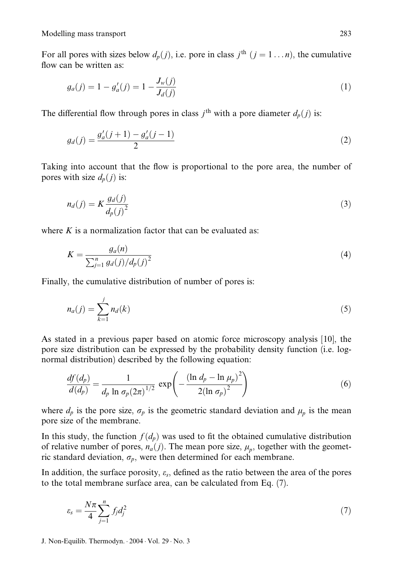Modelling mass transport 283

For all pores with sizes below  $d_p(j)$ , i.e. pore in class  $j^{\text{th}}$   $(j = 1 ... n)$ , the cumulative flow can be written as:

$$
g_a(j) = 1 - g'_a(j) = 1 - \frac{J_w(j)}{J_d(j)}
$$
(1)

The differential flow through pores in class  $j<sup>th</sup>$  with a pore diameter  $d_p(j)$  is:

$$
g_d(j) = \frac{g'_a(j+1) - g'_a(j-1)}{2} \tag{2}
$$

Taking into account that the flow is proportional to the pore area, the number of pores with size  $d_p(j)$  is:

$$
n_d(j) = K \frac{g_d(j)}{d_p(j)^2} \tag{3}
$$

where  $K$  is a normalization factor that can be evaluated as:

$$
K = \frac{g_a(n)}{\sum_{j=1}^n g_d(j)/d_p(j)^2}
$$
(4)

Finally, the cumulative distribution of number of pores is:

$$
n_a(j) = \sum_{k=1}^{j} n_d(k)
$$
 (5)

As stated in a previous paper based on atomic force microscopy analysis [10], the pore size distribution can be expressed by the probability density function (i.e. lognormal distribution) described by the following equation:

$$
\frac{df(d_p)}{d(d_p)} = \frac{1}{d_p \ln \sigma_p (2\pi)^{1/2}} \exp\left(-\frac{(\ln d_p - \ln \mu_p)^2}{2(\ln \sigma_p)^2}\right)
$$
(6)

where  $d_p$  is the pore size,  $\sigma_p$  is the geometric standard deviation and  $\mu_p$  is the mean pore size of the membrane.

In this study, the function  $f(d_p)$  was used to fit the obtained cumulative distribution of relative number of pores,  $n_a(j)$ . The mean pore size,  $\mu_p$ , together with the geometric standard deviation,  $\sigma_p$ , were then determined for each membrane.

In addition, the surface porosity,  $\varepsilon_s$ , defined as the ratio between the area of the pores to the total membrane surface area, can be calculated from Eq. (7).

$$
\varepsilon_s = \frac{N\pi}{4} \sum_{j=1}^n f_j d_j^2 \tag{7}
$$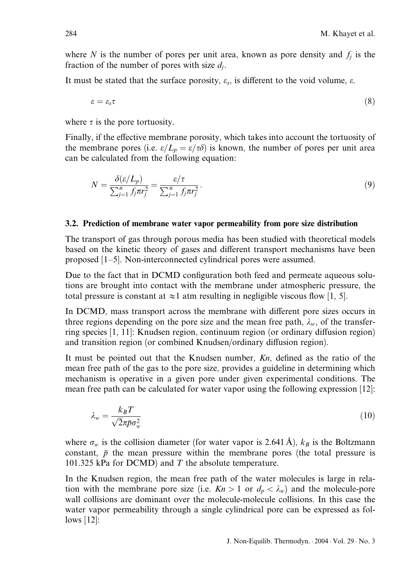where N is the number of pores per unit area, known as pore density and  $f_i$  is the fraction of the number of pores with size  $d_i$ .

It must be stated that the surface porosity,  $\varepsilon_s$ , is different to the void volume,  $\varepsilon$ .

$$
\varepsilon = \varepsilon_s \tau \tag{8}
$$

where  $\tau$  is the pore tortuosity.

Finally, if the effective membrane porosity, which takes into account the tortuosity of the membrane pores (i.e.  $\varepsilon/L_p = \varepsilon/\tau\delta$ ) is known, the number of pores per unit area can be calculated from the following equation:

$$
N = \frac{\delta(\varepsilon/L_p)}{\sum_{j=1}^n f_j \pi r_j^2} = \frac{\varepsilon/\tau}{\sum_{j=1}^n f_j \pi r_j^2}.
$$
\n(9)

#### 3.2. Prediction of membrane water vapor permeability from pore size distribution

The transport of gas through porous media has been studied with theoretical models based on the kinetic theory of gases and different transport mechanisms have been proposed [1–5]. Non-interconnected cylindrical pores were assumed.

Due to the fact that in DCMD configuration both feed and permeate aqueous solutions are brought into contact with the membrane under atmospheric pressure, the total pressure is constant at  $\approx$ 1 atm resulting in negligible viscous flow [1, 5].

In DCMD, mass transport across the membrane with different pore sizes occurs in three regions depending on the pore size and the mean free path,  $\lambda_w$ , of the transferring species  $[1, 11]$ : Knudsen region, continuum region (or ordinary diffusion region) and transition region (or combined Knudsen/ordinary diffusion region).

It must be pointed out that the Knudsen number,  $Kn$ , defined as the ratio of the mean free path of the gas to the pore size, provides a guideline in determining which mechanism is operative in a given pore under given experimental conditions. The mean free path can be calculated for water vapor using the following expression [12]:

$$
\lambda_w = \frac{k_B T}{\sqrt{2\pi\bar{p}\sigma_w^2}}\tag{10}
$$

where  $\sigma_w$  is the collision diameter (for water vapor is 2.641 Å),  $k_B$  is the Boltzmann constant,  $\bar{p}$  the mean pressure within the membrane pores (the total pressure is 101.325 kPa for DCMD) and  $T$  the absolute temperature.

In the Knudsen region, the mean free path of the water molecules is large in relation with the membrane pore size (i.e.  $Kn > 1$  or  $d_p < \lambda_w$ ) and the molecule-pore wall collisions are dominant over the molecule-molecule collisions. In this case the water vapor permeability through a single cylindrical pore can be expressed as follows [12]: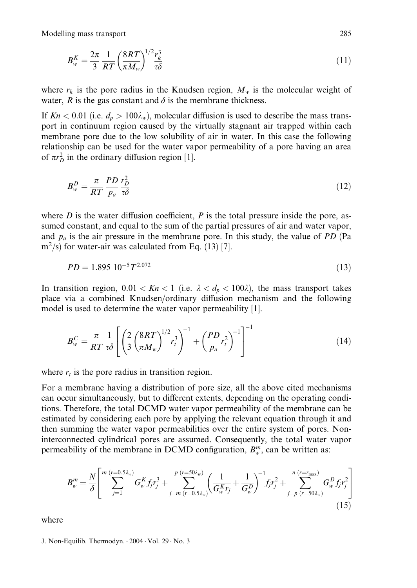Modelling mass transport 285

$$
B_w^K = \frac{2\pi}{3} \frac{1}{RT} \left(\frac{8RT}{\pi M_w}\right)^{1/2} \frac{r_k^3}{\tau \delta} \tag{11}
$$

where  $r_k$  is the pore radius in the Knudsen region,  $M_w$  is the molecular weight of water,  $R$  is the gas constant and  $\delta$  is the membrane thickness.

If  $Kn < 0.01$  (i.e.  $d_p > 100\lambda_w$ ), molecular diffusion is used to describe the mass transport in continuum region caused by the virtually stagnant air trapped within each membrane pore due to the low solubility of air in water. In this case the following relationship can be used for the water vapor permeability of a pore having an area of  $\pi r_D^2$  in the ordinary diffusion region [1].

$$
B_{w}^{D} = \frac{\pi}{RT} \frac{PD}{p_a} \frac{r_D^2}{\tau \delta} \tag{12}
$$

where D is the water diffusion coefficient, P is the total pressure inside the pore, assumed constant, and equal to the sum of the partial pressures of air and water vapor, and  $p_a$  is the air pressure in the membrane pore. In this study, the value of PD (Pa  $m^2/s$ ) for water-air was calculated from Eq. (13) [7].

$$
PD = 1.895 \ 10^{-5} T^{2.072} \tag{13}
$$

In transition region,  $0.01 < Kn < 1$  (i.e.  $\lambda < d_p < 100\lambda$ ), the mass transport takes place via a combined Knudsen/ordinary diffusion mechanism and the following model is used to determine the water vapor permeability [1].

$$
B_{w}^{C} = \frac{\pi}{RT} \frac{1}{\tau \delta} \left[ \left( \frac{2}{3} \left( \frac{8RT}{\pi M_{w}} \right)^{1/2} r_{t}^{3} \right)^{-1} + \left( \frac{PD}{p_{a}} r_{t}^{2} \right)^{-1} \right]^{-1} \tag{14}
$$

where  $r_t$  is the pore radius in transition region.

For a membrane having a distribution of pore size, all the above cited mechanisms can occur simultaneously, but to different extents, depending on the operating conditions. Therefore, the total DCMD water vapor permeability of the membrane can be estimated by considering each pore by applying the relevant equation through it and then summing the water vapor permeabilities over the entire system of pores. Noninterconnected cylindrical pores are assumed. Consequently, the total water vapor permeability of the membrane in DCMD configuration,  $B_{w}^{m}$ , can be written as:

$$
B_w^m = \frac{N}{\delta} \left[ \sum_{j=1}^{m} \sum_{j=1}^{(r=0.5\lambda_w)} G_w^K f_j r_j^3 + \sum_{j=m}^{p} \sum_{(r=0.5\lambda_w)}^{(r=50\lambda_w)} \left( \frac{1}{G_w^K r_j} + \frac{1}{G_w^D} \right)^{-1} f_j r_j^2 + \sum_{j=p}^{n} \sum_{(r=50\lambda_w)}^{(r=r_{\text{max}})} G_w^D f_j r_j^2 \right] \tag{15}
$$

where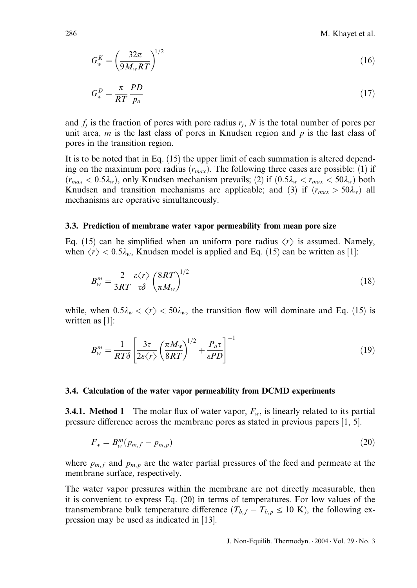286 M. Khayet et al.

$$
G_{w}^{K} = \left(\frac{32\pi}{9M_{w}RT}\right)^{1/2} \tag{16}
$$

$$
G_w^D = \frac{\pi}{RT} \frac{PD}{p_a} \tag{17}
$$

and  $f_i$  is the fraction of pores with pore radius  $r_i$ , N is the total number of pores per unit area,  $m$  is the last class of pores in Knudsen region and  $p$  is the last class of pores in the transition region.

It is to be noted that in Eq. (15) the upper limit of each summation is altered depending on the maximum pore radius  $(r_{max})$ . The following three cases are possible: (1) if  $(r_{max} < 0.5\lambda_w)$ , only Knudsen mechanism prevails; (2) if  $(0.5\lambda_w < r_{max} < 50\lambda_w)$  both Knudsen and transition mechanisms are applicable; and (3) if  $(r_{max} > 50\lambda_w)$  all mechanisms are operative simultaneously.

#### 3.3. Prediction of membrane water vapor permeability from mean pore size

Eq. (15) can be simplified when an uniform pore radius  $\langle r \rangle$  is assumed. Namely, when  $\langle r \rangle$  < 0.5 $\lambda_w$ , Knudsen model is applied and Eq. (15) can be written as [1]:

$$
B_w^m = \frac{2}{3RT} \frac{\varepsilon \langle r \rangle}{\tau \delta} \left( \frac{8RT}{\pi M_w} \right)^{1/2} \tag{18}
$$

while, when  $0.5\lambda_w < \langle r \rangle < 50\lambda_w$ , the transition flow will dominate and Eq. (15) is written as [1]:

$$
B_w^m = \frac{1}{RT\delta} \left[ \frac{3\tau}{2\varepsilon \langle r \rangle} \left( \frac{\pi M_w}{8RT} \right)^{1/2} + \frac{P_a \tau}{\varepsilon PD} \right]^{-1} \tag{19}
$$

#### 3.4. Calculation of the water vapor permeability from DCMD experiments

**3.4.1. Method 1** The molar flux of water vapor,  $F_w$ , is linearly related to its partial pressure difference across the membrane pores as stated in previous papers  $[1, 5]$ .

$$
F_w = B_w^m(p_{m,f} - p_{m,p})
$$
\n<sup>(20)</sup>

where  $p_{m,f}$  and  $p_{m,p}$  are the water partial pressures of the feed and permeate at the membrane surface, respectively.

The water vapor pressures within the membrane are not directly measurable, then it is convenient to express Eq. (20) in terms of temperatures. For low values of the transmembrane bulk temperature difference  $(T_{b,f} - T_{b,p} \le 10 \text{ K})$ , the following expression may be used as indicated in [13].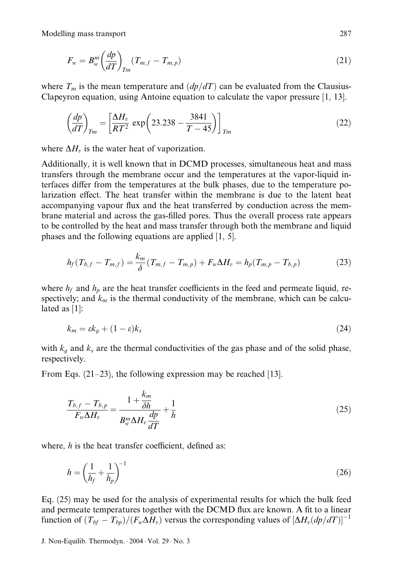Modelling mass transport 287

$$
F_w = B_w^m \left(\frac{dp}{dT}\right)_{Tm} (T_{m,f} - T_{m,p})
$$
\n(21)

where  $T_m$  is the mean temperature and  $\left(\frac{dp}{dT}\right)$  can be evaluated from the Clausius-Clapeyron equation, using Antoine equation to calculate the vapor pressure [1, 13].

$$
\left(\frac{dp}{dT}\right)_{Tm} = \left[\frac{\Delta H_v}{RT^2} \exp\left(23.238 - \frac{3841}{T - 45}\right)\right]_{Tm} \tag{22}
$$

where  $\Delta H_v$  is the water heat of vaporization.

Additionally, it is well known that in DCMD processes, simultaneous heat and mass transfers through the membrane occur and the temperatures at the vapor-liquid interfaces differ from the temperatures at the bulk phases, due to the temperature polarization effect. The heat transfer within the membrane is due to the latent heat accompanying vapour flux and the heat transferred by conduction across the membrane material and across the gas-filled pores. Thus the overall process rate appears to be controlled by the heat and mass transfer through both the membrane and liquid phases and the following equations are applied [1, 5].

$$
h_f(T_{b,f} - T_{m,f}) = \frac{k_m}{\delta} (T_{m,f} - T_{m,p}) + F_w \Delta H_v = h_p (T_{m,p} - T_{b,p})
$$
 (23)

where  $h_f$  and  $h_p$  are the heat transfer coefficients in the feed and permeate liquid, respectively; and  $k_m$  is the thermal conductivity of the membrane, which can be calculated as [1]:

$$
k_m = \varepsilon k_g + (1 - \varepsilon) k_s \tag{24}
$$

with  $k_g$  and  $k_s$  are the thermal conductivities of the gas phase and of the solid phase, respectively.

From Eqs.  $(21-23)$ , the following expression may be reached [13].

$$
\frac{T_{b,f} - T_{b,p}}{F_w \Delta H_v} = \frac{1 + \frac{k_m}{\delta h}}{B_w^m \Delta H_v \frac{dp}{dT}} + \frac{1}{h}
$$
\n(25)

where,  $h$  is the heat transfer coefficient, defined as:

$$
h = \left(\frac{1}{h_f} + \frac{1}{h_p}\right)^{-1} \tag{26}
$$

Eq. (25) may be used for the analysis of experimental results for which the bulk feed and permeate temperatures together with the DCMD flux are known. A fit to a linear function of  $(T_{bf} - T_{bn})/(F_w\Delta H_v)$  versus the corresponding values of  $[\Delta H_v(dp/dT)]^{-1}$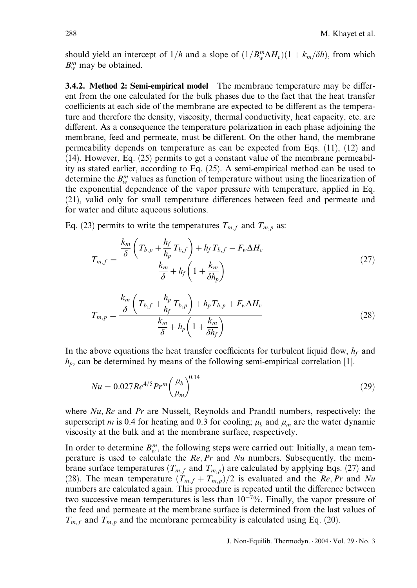should yield an intercept of  $1/h$  and a slope of  $(1/B_w^m\Delta H_v)(1+k_m/\delta h)$ , from which  $B_{w}^{m}$  may be obtained.

**3.4.2. Method 2: Semi-empirical model** The membrane temperature may be different from the one calculated for the bulk phases due to the fact that the heat transfer coefficients at each side of the membrane are expected to be different as the temperature and therefore the density, viscosity, thermal conductivity, heat capacity, etc. are different. As a consequence the temperature polarization in each phase adjoining the membrane, feed and permeate, must be different. On the other hand, the membrane permeability depends on temperature as can be expected from Eqs. (11), (12) and (14). However, Eq. (25) permits to get a constant value of the membrane permeability as stated earlier, according to Eq. (25). A semi-empirical method can be used to determine the  $B_{w}^{m}$  values as function of temperature without using the linearization of the exponential dependence of the vapor pressure with temperature, applied in Eq.  $(21)$ , valid only for small temperature differences between feed and permeate and for water and dilute aqueous solutions.

Eq. (23) permits to write the temperatures  $T_{m,f}$  and  $T_{m,p}$  as:

$$
T_{m,f} = \frac{\frac{k_m}{\delta} \left( T_{b,p} + \frac{h_f}{h_p} T_{b,f} \right) + h_f T_{b,f} - F_w \Delta H_v}{\frac{k_m}{\delta} + h_f \left( 1 + \frac{k_m}{\delta h_p} \right)}
$$
(27)

$$
T_{m,p} = \frac{\frac{k_m}{\delta} \left( T_{b,f} + \frac{h_p}{h_f} T_{b,p} \right) + h_p T_{b,p} + F_w \Delta H_v}{\frac{k_m}{\delta} + h_p \left( 1 + \frac{k_m}{\delta h_f} \right)}
$$
(28)

In the above equations the heat transfer coefficients for turbulent liquid flow,  $h_f$  and  $h_p$ , can be determined by means of the following semi-empirical correlation [1].

$$
Nu = 0.027 Re^{4/5} Pr^{m} \left(\frac{\mu_b}{\mu_m}\right)^{0.14}
$$
\n(29)

where  $Nu$ ,  $Re$  and  $Pr$  are Nusselt, Reynolds and Prandtl numbers, respectively; the superscript m is 0.4 for heating and 0.3 for cooling;  $\mu_b$  and  $\mu_m$  are the water dynamic viscosity at the bulk and at the membrane surface, respectively.

In order to determine  $B_{w}^{m}$ , the following steps were carried out: Initially, a mean temperature is used to calculate the  $Re, Pr$  and  $Nu$  numbers. Subsequently, the membrane surface temperatures ( $T_{m,f}$  and  $T_{m,p}$ ) are calculated by applying Eqs. (27) and (28). The mean temperature  $(T_{m,f} + T_{m,p})/2$  is evaluated and the Re, Pr and Nu numbers are calculated again. This procedure is repeated until the difference between two successive mean temperatures is less than  $10^{-7}\%$ . Finally, the vapor pressure of the feed and permeate at the membrane surface is determined from the last values of  $T_{m,f}$  and  $T_{m,p}$  and the membrane permeability is calculated using Eq. (20).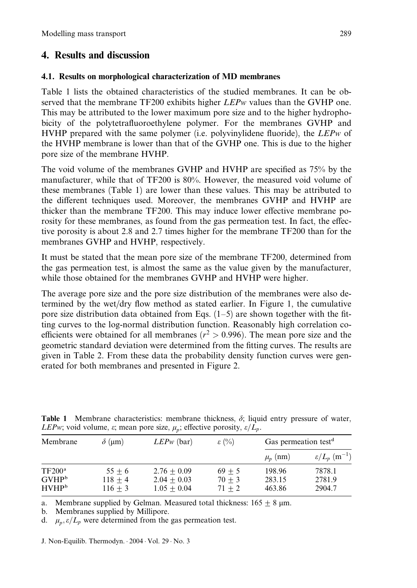## 4. Results and discussion

### 4.1. Results on morphological characterization of MD membranes

Table 1 lists the obtained characteristics of the studied membranes. It can be observed that the membrane TF200 exhibits higher LEPw values than the GVHP one. This may be attributed to the lower maximum pore size and to the higher hydrophobicity of the polytetrafluoroethylene polymer. For the membranes GVHP and HVHP prepared with the same polymer (i.e. polyvinylidene fluoride), the LEPw of the HVHP membrane is lower than that of the GVHP one. This is due to the higher pore size of the membrane HVHP.

The void volume of the membranes GVHP and HVHP are specified as 75% by the manufacturer, while that of TF200 is 80%. However, the measured void volume of these membranes (Table 1) are lower than these values. This may be attributed to the different techniques used. Moreover, the membranes GVHP and HVHP are thicker than the membrane TF200. This may induce lower effective membrane porosity for these membranes, as found from the gas permeation test. In fact, the effective porosity is about 2.8 and 2.7 times higher for the membrane TF200 than for the membranes GVHP and HVHP, respectively.

It must be stated that the mean pore size of the membrane TF200, determined from the gas permeation test, is almost the same as the value given by the manufacturer, while those obtained for the membranes GVHP and HVHP were higher.

The average pore size and the pore size distribution of the membranes were also determined by the wet/dry flow method as stated earlier. In Figure 1, the cumulative pore size distribution data obtained from Eqs.  $(1-5)$  are shown together with the fitting curves to the log-normal distribution function. Reasonably high correlation coefficients were obtained for all membranes ( $r^2 > 0.996$ ). The mean pore size and the geometric standard deviation were determined from the fitting curves. The results are given in Table 2. From these data the probability density function curves were generated for both membranes and presented in Figure 2.

| Membrane                                         | $\delta$ (µm)                      | $LEPw$ (bar)                                    | $\varepsilon$ (%)                | Gas permeation test <sup>d</sup> |                                     |
|--------------------------------------------------|------------------------------------|-------------------------------------------------|----------------------------------|----------------------------------|-------------------------------------|
|                                                  |                                    |                                                 |                                  | $\mu_n$ (nm)                     | $\varepsilon/L_p~(\mathrm{m}^{-1})$ |
| $TF200^{\circ}$<br>$GVHP^b$<br>HVHP <sup>b</sup> | $55 + 6$<br>$118 + 4$<br>$116 + 3$ | $2.76 + 0.09$<br>$2.04 + 0.03$<br>$1.05 + 0.04$ | $69 + 5$<br>$70 + 3$<br>$71 + 2$ | 198.96<br>283.15<br>463.86       | 7878.1<br>2781.9<br>2904.7          |

**Table 1** Membrane characteristics: membrane thickness,  $\delta$ ; liquid entry pressure of water, *LEPw*; void volume,  $\varepsilon$ ; mean pore size,  $\mu_p$ ; effective porosity,  $\varepsilon/L_p$ .

a. Membrane supplied by Gelman. Measured total thickness:  $165 + 8 \mu m$ .

b. Membranes supplied by Millipore.

d.  $\mu_n, \varepsilon/L_p$  were determined from the gas permeation test.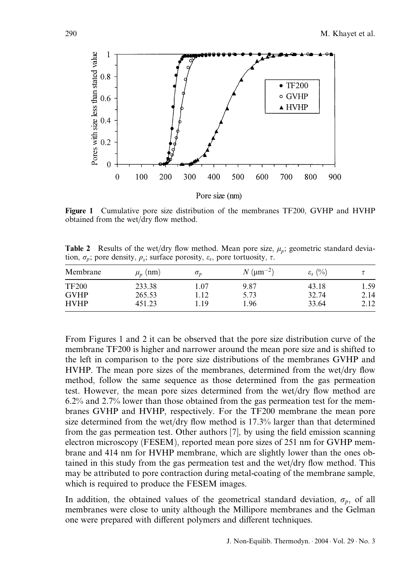

Figure 1 Cumulative pore size distribution of the membranes TF200, GVHP and HVHP obtained from the wet/dry flow method.

**Table 2** Results of the wet/dry flow method. Mean pore size,  $\mu_n$ ; geometric standard deviation,  $\sigma_p$ ; pore density,  $\rho_s$ ; surface porosity,  $\varepsilon_s$ , pore tortuosity,  $\tau$ .

| Membrane     | $\mu_n$ (nm) | $\sigma_p$ | $N \, (\mu m^{-2})$ | $\varepsilon_{\rm s}$ (%) | τ    |
|--------------|--------------|------------|---------------------|---------------------------|------|
| <b>TF200</b> | 233.38       | 1.07       | 9.87                | 43.18                     | 1.59 |
| <b>GVHP</b>  | 265.53       | l.12       | 5.73                | 32.74                     | 2.14 |
| <b>HVHP</b>  | 451.23       | .19        | 1.96                | 33.64                     | 2.12 |

From Figures 1 and 2 it can be observed that the pore size distribution curve of the membrane TF200 is higher and narrower around the mean pore size and is shifted to the left in comparison to the pore size distributions of the membranes GVHP and HVHP. The mean pore sizes of the membranes, determined from the wet/dry flow method, follow the same sequence as those determined from the gas permeation test. However, the mean pore sizes determined from the wet/dry flow method are 6.2% and 2.7% lower than those obtained from the gas permeation test for the membranes GVHP and HVHP, respectively. For the TF200 membrane the mean pore size determined from the wet/dry flow method is 17.3% larger than that determined from the gas permeation test. Other authors [7], by using the field emission scanning electron microscopy (FESEM), reported mean pore sizes of 251 nm for GVHP membrane and 414 nm for HVHP membrane, which are slightly lower than the ones obtained in this study from the gas permeation test and the wet/dry flow method. This may be attributed to pore contraction during metal-coating of the membrane sample, which is required to produce the FESEM images.

In addition, the obtained values of the geometrical standard deviation,  $\sigma_p$ , of all membranes were close to unity although the Millipore membranes and the Gelman one were prepared with different polymers and different techniques.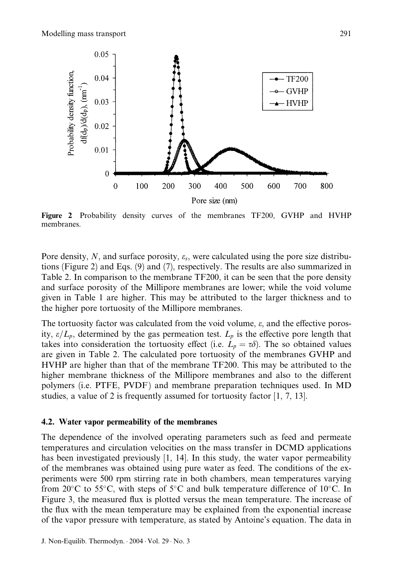

Figure 2 Probability density curves of the membranes TF200, GVHP and HVHP membranes.

Pore density, N, and surface porosity,  $\varepsilon_s$ , were calculated using the pore size distributions (Figure 2) and Eqs. (9) and (7), respectively. The results are also summarized in Table 2. In comparison to the membrane TF200, it can be seen that the pore density and surface porosity of the Millipore membranes are lower; while the void volume given in Table 1 are higher. This may be attributed to the larger thickness and to the higher pore tortuosity of the Millipore membranes.

The tortuosity factor was calculated from the void volume,  $\varepsilon$ , and the effective porosity,  $\varepsilon/L_p$ , determined by the gas permeation test.  $L_p$  is the effective pore length that takes into consideration the tortuosity effect (i.e.  $L_p = \tau \delta$ ). The so obtained values are given in Table 2. The calculated pore tortuosity of the membranes GVHP and HVHP are higher than that of the membrane TF200. This may be attributed to the higher membrane thickness of the Millipore membranes and also to the different polymers (i.e. PTFE, PVDF ) and membrane preparation techniques used. In MD studies, a value of 2 is frequently assumed for tortuosity factor [1, 7, 13].

#### 4.2. Water vapor permeability of the membranes

The dependence of the involved operating parameters such as feed and permeate temperatures and circulation velocities on the mass transfer in DCMD applications has been investigated previously [1, 14]. In this study, the water vapor permeability of the membranes was obtained using pure water as feed. The conditions of the experiments were 500 rpm stirring rate in both chambers, mean temperatures varying from  $20^{\circ}$ C to 55 $^{\circ}$ C, with steps of 5 $^{\circ}$ C and bulk temperature difference of 10 $^{\circ}$ C. In Figure 3, the measured flux is plotted versus the mean temperature. The increase of the flux with the mean temperature may be explained from the exponential increase of the vapor pressure with temperature, as stated by Antoine's equation. The data in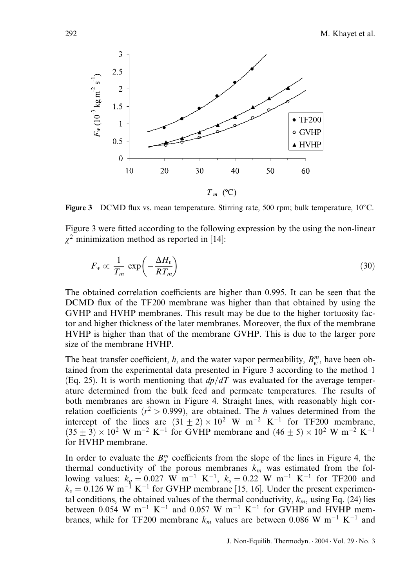

Figure 3 DCMD flux vs. mean temperature. Stirring rate, 500 rpm; bulk temperature,  $10^{\circ}$ C.

Figure 3 were fitted according to the following expression by the using the non-linear  $\gamma^2$  minimization method as reported in [14]:

$$
F_w \propto \frac{1}{T_m} \exp\left(-\frac{\Delta H_v}{RT_m}\right) \tag{30}
$$

The obtained correlation coefficients are higher than 0.995. It can be seen that the DCMD flux of the TF200 membrane was higher than that obtained by using the GVHP and HVHP membranes. This result may be due to the higher tortuosity factor and higher thickness of the later membranes. Moreover, the flux of the membrane HVHP is higher than that of the membrane GVHP. This is due to the larger pore size of the membrane HVHP.

The heat transfer coefficient, h, and the water vapor permeability,  $B_w^m$ , have been obtained from the experimental data presented in Figure 3 according to the method 1 (Eq. 25). It is worth mentioning that  $dp/dT$  was evaluated for the average temperature determined from the bulk feed and permeate temperatures. The results of both membranes are shown in Figure 4. Straight lines, with reasonably high correlation coefficients ( $r^2 > 0.999$ ), are obtained. The h values determined from the intercept of the lines are  $(31 + 2) \times 10^2$  W m<sup>-2</sup> K<sup>-1</sup> for TF200 membrane,  $(35 + 3) \times 10^2$  W m<sup>-2</sup> K<sup>-1</sup> for GVHP membrane and  $(46 + 5) \times 10^2$  W m<sup>-2</sup> K<sup>-1</sup> for HVHP membrane.

In order to evaluate the  $B_{w}^{m}$  coefficients from the slope of the lines in Figure 4, the thermal conductivity of the porous membranes  $k_m$  was estimated from the following values:  $k_g = 0.027$  W m<sup>-1</sup> K<sup>-1</sup>,  $k_s = 0.22$  W m<sup>-1</sup> K<sup>-1</sup> for TF200 and  $k_s = 0.126$  W m<sup>-1</sup> K<sup>-1</sup> for GVHP membrane [15, 16]. Under the present experimental conditions, the obtained values of the thermal conductivity,  $k_m$ , using Eq. (24) lies between 0.054 W m<sup>-1</sup> K<sup>-1</sup> and 0.057 W m<sup>-1</sup> K<sup>-1</sup> for GVHP and HVHP membranes, while for TF200 membrane  $k_m$  values are between 0.086 W m<sup>-1</sup> K<sup>-1</sup> and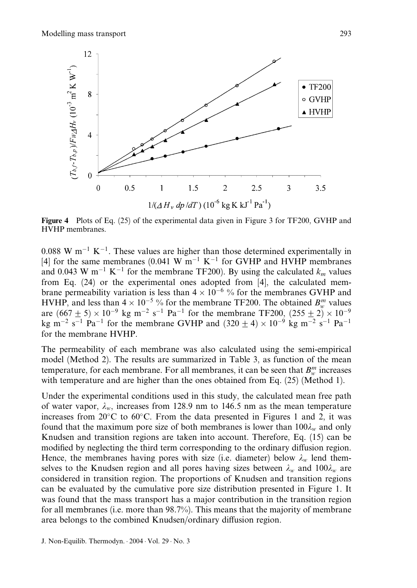

Figure 4 Plots of Eq. (25) of the experimental data given in Figure 3 for TF200, GVHP and HVHP membranes.

 $0.088$  W m<sup>-1</sup> K<sup>-1</sup>. These values are higher than those determined experimentally in [4] for the same membranes (0.041 W  $m^{-1}$  K<sup>-1</sup> for GVHP and HVHP membranes and 0.043 W m<sup>-1</sup> K<sup>-1</sup> for the membrane TF200). By using the calculated  $k_m$  values from Eq. (24) or the experimental ones adopted from [4], the calculated membrane permeability variation is less than  $4 \times 10^{-6}$ % for the membranes GVHP and HVHP, and less than  $4 \times 10^{-5}$ % for the membrane TF200. The obtained  $B_w^m$  values are  $(667 \pm 5) \times 10^{-9}$  kg m<sup>-2</sup> s<sup>-1</sup> Pa<sup>-1</sup> for the membrane TF200,  $(255 \pm 2) \times 10^{-9}$ kg m<sup>-2</sup> s<sup>-1</sup> Pa<sup>-1</sup> for the membrane GVHP and  $(320 \pm 4) \times 10^{-9}$  kg m<sup>-2</sup> s<sup>-1</sup> Pa<sup>-1</sup> for the membrane HVHP.

The permeability of each membrane was also calculated using the semi-empirical model (Method 2). The results are summarized in Table 3, as function of the mean temperature, for each membrane. For all membranes, it can be seen that  $B_w^m$  increases with temperature and are higher than the ones obtained from Eq. (25) (Method 1).

Under the experimental conditions used in this study, the calculated mean free path of water vapor,  $\lambda_w$ , increases from 128.9 nm to 146.5 nm as the mean temperature increases from  $20^{\circ}$ C to  $60^{\circ}$ C. From the data presented in Figures 1 and 2, it was found that the maximum pore size of both membranes is lower than  $100\lambda_{w}$  and only Knudsen and transition regions are taken into account. Therefore, Eq. (15) can be modified by neglecting the third term corresponding to the ordinary diffusion region. Hence, the membranes having pores with size (i.e. diameter) below  $\lambda_w$  lend themselves to the Knudsen region and all pores having sizes between  $\lambda_w$  and  $100\lambda_w$  are considered in transition region. The proportions of Knudsen and transition regions can be evaluated by the cumulative pore size distribution presented in Figure 1. It was found that the mass transport has a major contribution in the transition region for all membranes (i.e. more than 98.7%). This means that the majority of membrane area belongs to the combined Knudsen/ordinary diffusion region.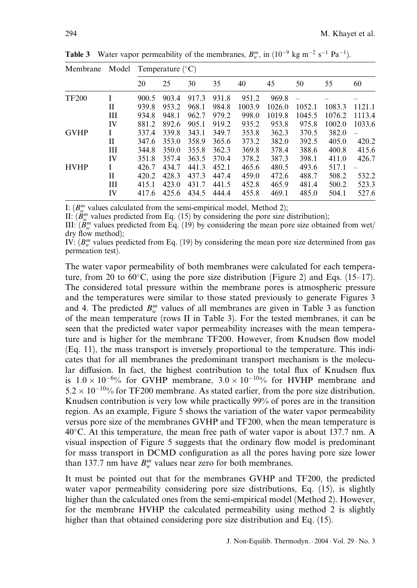| Model<br>Membrane |    | Temperature $(^{\circ}C)$ |       |       |       |        |        |        |        |        |
|-------------------|----|---------------------------|-------|-------|-------|--------|--------|--------|--------|--------|
|                   |    | 20                        | 25    | 30    | 35    | 40     | 45     | 50     | 55     | 60     |
| <b>TF200</b>      |    | 900.5                     | 903.4 | 917.3 | 931.8 | 951.2  | 969.8  |        |        |        |
|                   | Н  | 939.8                     | 953.2 | 968.1 | 984.8 | 1003.9 | 1026.0 | 1052.1 | 1083.3 | 1121.1 |
|                   | Ш  | 934.8                     | 948.1 | 962.7 | 979.2 | 998.0  | 1019.8 | 1045.5 | 1076.2 | 1113.4 |
|                   | IV | 881.2                     | 892.6 | 905.1 | 919.2 | 935.2  | 953.8  | 975.8  | 1002.0 | 1033.6 |
| <b>GVHP</b>       | I  | 337.4                     | 339.8 | 343.1 | 349.7 | 353.8  | 362.3  | 370.5  | 382.0  |        |
|                   | Н  | 347.6                     | 353.0 | 358.9 | 365.6 | 373.2  | 382.0  | 392.5  | 405.0  | 420.2  |
|                   | Ш  | 344.8                     | 350.0 | 355.8 | 362.3 | 369.8  | 378.4  | 388.6  | 400.8  | 415.6  |
|                   | IV | 351.8                     | 357.4 | 363.5 | 370.4 | 378.2  | 387.3  | 398.1  | 411.0  | 426.7  |
| <b>HVHP</b>       | I  | 426.7                     | 434.7 | 441.3 | 452.1 | 465.6  | 480.5  | 493.6  | 517.1  |        |
|                   | Н  | 420.2                     | 428.3 | 437.3 | 447.4 | 459.0  | 472.6  | 488.7  | 508.2  | 532.2  |
|                   | Ш  | 415.1                     | 423.0 | 431.7 | 441.5 | 452.8  | 465.9  | 481.4  | 500.2  | 523.3  |
|                   | IV | 417.6                     | 425.6 | 434.5 | 444.4 | 455.8  | 469.1  | 485.0  | 504.1  | 527.6  |

**Table 3** Water vapor permeability of the membranes,  $B_w^m$ , in  $(10^{-9} \text{ kg m}^{-2} \text{ s}^{-1} \text{ Pa}^{-1})$ .

I:  $(B_{w}^{m}$  values calculated from the semi-empirical model, Method 2);

II:  $(B_{w}^{m}$  values predicted from Eq. (15) by considering the pore size distribution);

III:  $(B_{w}^{m}$  values predicted from Eq. (19) by considering the mean pore size obtained from wet/ dry flow method);

IV:  $(B_{w}^{m}$  values predicted from Eq. (19) by considering the mean pore size determined from gas permeation test).

The water vapor permeability of both membranes were calculated for each temperature, from 20 to 60 $\degree$ C, using the pore size distribution (Figure 2) and Eqs. (15–17). The considered total pressure within the membrane pores is atmospheric pressure and the temperatures were similar to those stated previously to generate Figures 3 and 4. The predicted  $B_w^m$  values of all membranes are given in Table 3 as function of the mean temperature (rows II in Table 3). For the tested membranes, it can be seen that the predicted water vapor permeability increases with the mean temperature and is higher for the membrane TF200. However, from Knudsen flow model (Eq. 11), the mass transport is inversely proportional to the temperature. This indicates that for all membranes the predominant transport mechanism is the molecular diffusion. In fact, the highest contribution to the total flux of Knudsen flux is  $1.0 \times 10^{-6}\%$  for GVHP membrane,  $3.0 \times 10^{-10}\%$  for HVHP membrane and  $5.2 \times 10^{-10}$ % for TF200 membrane. As stated earlier, from the pore size distribution, Knudsen contribution is very low while practically 99% of pores are in the transition region. As an example, Figure 5 shows the variation of the water vapor permeability versus pore size of the membranes GVHP and TF200, when the mean temperature is 40°C. At this temperature, the mean free path of water vapor is about 137.7 nm. A visual inspection of Figure 5 suggests that the ordinary flow model is predominant for mass transport in DCMD configuration as all the pores having pore size lower than 137.7 nm have  $B_w^m$  values near zero for both membranes.

It must be pointed out that for the membranes GVHP and TF200, the predicted water vapor permeability considering pore size distributions, Eq. (15), is slightly higher than the calculated ones from the semi-empirical model (Method 2). However, for the membrane HVHP the calculated permeability using method 2 is slightly higher than that obtained considering pore size distribution and Eq. (15).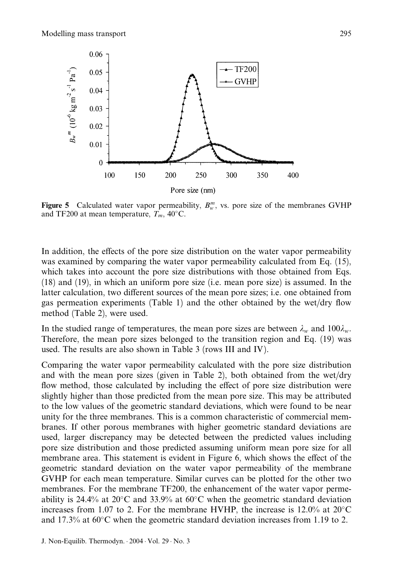

Figure 5 Calculated water vapor permeability,  $B_w^m$ , vs. pore size of the membranes GVHP and TF200 at mean temperature,  $T_m$ , 40°C.

In addition, the effects of the pore size distribution on the water vapor permeability was examined by comparing the water vapor permeability calculated from Eq. (15), which takes into account the pore size distributions with those obtained from Eqs. (18) and (19), in which an uniform pore size (i.e. mean pore size) is assumed. In the latter calculation, two different sources of the mean pore sizes; i.e. one obtained from gas permeation experiments (Table 1) and the other obtained by the wet/dry flow method (Table 2), were used.

In the studied range of temperatures, the mean pore sizes are between  $\lambda_w$  and  $100\lambda_w$ . Therefore, the mean pore sizes belonged to the transition region and Eq. (19) was used. The results are also shown in Table 3 (rows III and IV ).

Comparing the water vapor permeability calculated with the pore size distribution and with the mean pore sizes (given in Table 2), both obtained from the wet/dry flow method, those calculated by including the effect of pore size distribution were slightly higher than those predicted from the mean pore size. This may be attributed to the low values of the geometric standard deviations, which were found to be near unity for the three membranes. This is a common characteristic of commercial membranes. If other porous membranes with higher geometric standard deviations are used, larger discrepancy may be detected between the predicted values including pore size distribution and those predicted assuming uniform mean pore size for all membrane area. This statement is evident in Figure 6, which shows the effect of the geometric standard deviation on the water vapor permeability of the membrane GVHP for each mean temperature. Similar curves can be plotted for the other two membranes. For the membrane TF200, the enhancement of the water vapor permeability is 24.4% at 20 $^{\circ}$ C and 33.9% at 60 $^{\circ}$ C when the geometric standard deviation increases from 1.07 to 2. For the membrane HVHP, the increase is  $12.0\%$  at  $20^{\circ}$ C and 17.3% at  $60^{\circ}$ C when the geometric standard deviation increases from 1.19 to 2.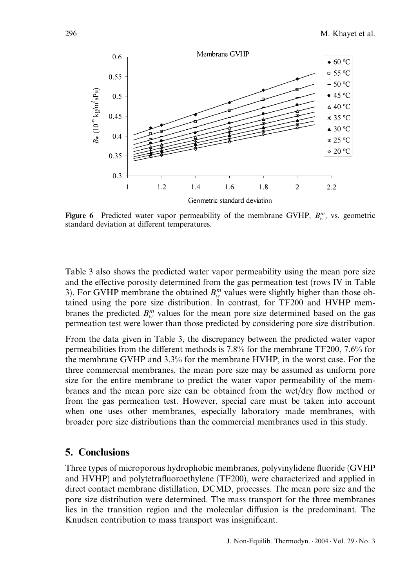

Figure 6 Predicted water vapor permeability of the membrane GVHP,  $B_w^m$ , vs. geometric standard deviation at different temperatures.

Table 3 also shows the predicted water vapor permeability using the mean pore size and the effective porosity determined from the gas permeation test (rows IV in Table 3). For GVHP membrane the obtained  $B_w^m$  values were slightly higher than those obtained using the pore size distribution. In contrast, for TF200 and HVHP membranes the predicted  $B_{w}^{m}$  values for the mean pore size determined based on the gas permeation test were lower than those predicted by considering pore size distribution.

From the data given in Table 3, the discrepancy between the predicted water vapor permeabilities from the different methods is  $7.8\%$  for the membrane TF200,  $7.6\%$  for the membrane GVHP and 3.3% for the membrane HVHP, in the worst case. For the three commercial membranes, the mean pore size may be assumed as uniform pore size for the entire membrane to predict the water vapor permeability of the membranes and the mean pore size can be obtained from the wet/dry flow method or from the gas permeation test. However, special care must be taken into account when one uses other membranes, especially laboratory made membranes, with broader pore size distributions than the commercial membranes used in this study.

#### 5. Conclusions

Three types of microporous hydrophobic membranes, polyvinylidene fluoride (GVHP and HVHP) and polytetrafluoroethylene (TF200), were characterized and applied in direct contact membrane distillation, DCMD, processes. The mean pore size and the pore size distribution were determined. The mass transport for the three membranes lies in the transition region and the molecular diffusion is the predominant. The Knudsen contribution to mass transport was insignificant.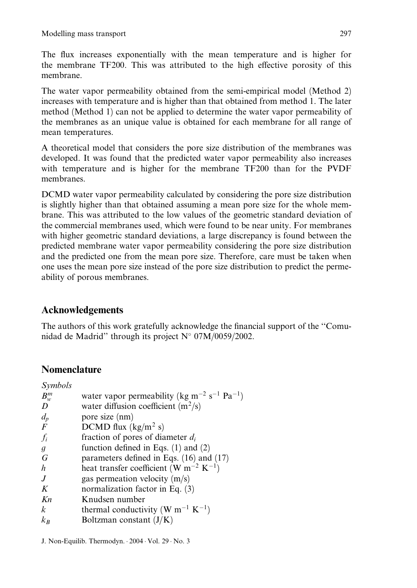The flux increases exponentially with the mean temperature and is higher for the membrane TF200. This was attributed to the high effective porosity of this membrane.

The water vapor permeability obtained from the semi-empirical model (Method 2) increases with temperature and is higher than that obtained from method 1. The later method (Method 1) can not be applied to determine the water vapor permeability of the membranes as an unique value is obtained for each membrane for all range of mean temperatures.

A theoretical model that considers the pore size distribution of the membranes was developed. It was found that the predicted water vapor permeability also increases with temperature and is higher for the membrane TF200 than for the PVDF membranes.

DCMD water vapor permeability calculated by considering the pore size distribution is slightly higher than that obtained assuming a mean pore size for the whole membrane. This was attributed to the low values of the geometric standard deviation of the commercial membranes used, which were found to be near unity. For membranes with higher geometric standard deviations, a large discrepancy is found between the predicted membrane water vapor permeability considering the pore size distribution and the predicted one from the mean pore size. Therefore, care must be taken when one uses the mean pore size instead of the pore size distribution to predict the permeability of porous membranes.

## Acknowledgements

The authors of this work gratefully acknowledge the financial support of the ''Comunidad de Madrid" through its project  $N^{\circ}$  07M/0059/2002.

## **Nomenclature**

| Symbols          |                                                                                 |
|------------------|---------------------------------------------------------------------------------|
| $B_w^m$          | water vapor permeability (kg m <sup>-2</sup> s <sup>-1</sup> Pa <sup>-1</sup> ) |
| D                | water diffusion coefficient $(m^2/s)$                                           |
| $d_p$            | pore size (nm)                                                                  |
| $\boldsymbol{F}$ | DCMD flux $(kg/m^2 s)$                                                          |
| $f_i$            | fraction of pores of diameter $d_i$                                             |
| g                | function defined in Eqs. $(1)$ and $(2)$                                        |
| G                | parameters defined in Eqs. $(16)$ and $(17)$                                    |
| h                | heat transfer coefficient (W m <sup>-2</sup> K <sup>-1</sup> )                  |
| $\overline{J}$   | gas permeation velocity $(m/s)$                                                 |
| K                | normalization factor in Eq. $(3)$                                               |
| Kn               | Knudsen number                                                                  |
| k.               | thermal conductivity (W m <sup>-1</sup> K <sup>-1</sup> )                       |
| $k_{B}$          | Boltzman constant $(J/K)$                                                       |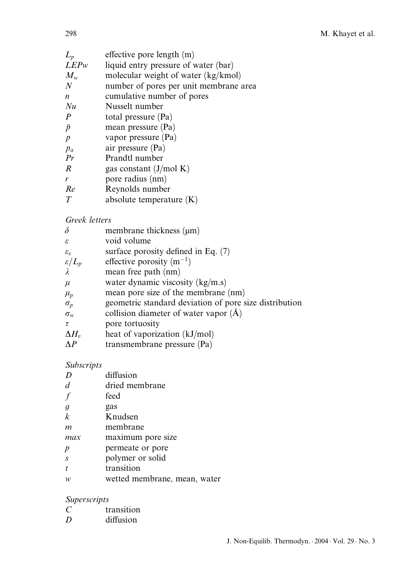| effective pore length (m)              |
|----------------------------------------|
| liquid entry pressure of water (bar)   |
| molecular weight of water (kg/kmol)    |
| number of pores per unit membrane area |
| cumulative number of pores             |
| Nusselt number                         |
| total pressure (Pa)                    |
| mean pressure (Pa)                     |
| vapor pressure (Pa)                    |
| air pressure (Pa)                      |
| Prandtl number                         |
| gas constant $(J/mol K)$               |
| pore radius (nm)                       |
| Reynolds number                        |
| absolute temperature $(K)$             |
|                                        |

## Greek letters

| membrane thickness $(\mu m)$                           |
|--------------------------------------------------------|
| void volume                                            |
| surface porosity defined in Eq. $(7)$                  |
| effective porosity $(m^{-1})$                          |
| mean free path (nm)                                    |
| water dynamic viscosity $(kg/m.s)$                     |
| mean pore size of the membrane (nm)                    |
| geometric standard deviation of pore size distribution |
| collision diameter of water vapor $(\AA)$              |
| pore tortuosity                                        |
| heat of vaporization (kJ/mol)                          |
| transmembrane pressure (Pa)                            |
|                                                        |

## Subscripts

| D              | diffusion                    |
|----------------|------------------------------|
|                | dried membrane               |
|                | feed                         |
| $\mathfrak{g}$ | gas                          |
| $\mathbf{k}$   | Knudsen                      |
| m              | membrane                     |
| max            | maximum pore size            |
| p              | permeate or pore             |
| $\overline{S}$ | polymer or solid             |
|                | transition                   |
| w              | wetted membrane, mean, water |

## Superscripts

|   | transition |
|---|------------|
| D | diffusion  |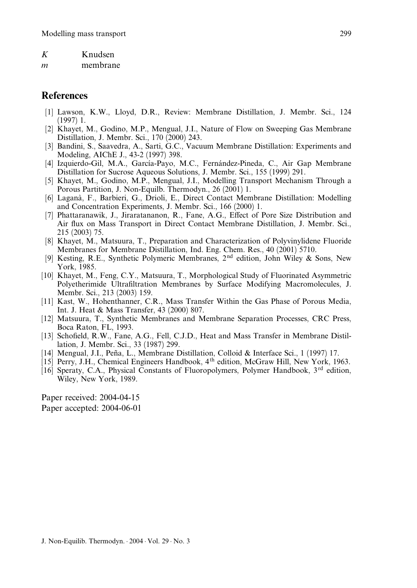| K | Knudsen |
|---|---------|
|   |         |

m membrane

### References

- [1] Lawson, K.W., Lloyd, D.R., Review: Membrane Distillation, J. Membr. Sci., 124 (1997) 1.
- [2] Khayet, M., Godino, M.P., Mengual, J.I., Nature of Flow on Sweeping Gas Membrane Distillation, J. Membr. Sci., 170 (2000) 243.
- [3] Bandini, S., Saavedra, A., Sarti, G.C., Vacuum Membrane Distillation: Experiments and Modeling, AIChE J., 43-2 (1997) 398.
- [4] Izquierdo-Gil, M.A., García-Payo, M.C., Fernández-Pineda, C., Air Gap Membrane Distillation for Sucrose Aqueous Solutions, J. Membr. Sci., 155 (1999) 291.
- [5] Khayet, M., Godino, M.P., Mengual, J.I., Modelling Transport Mechanism Through a Porous Partition, J. Non-Equilb. Thermodyn., 26 (2001) 1.
- [6] Lagana`, F., Barbieri, G., Drioli, E., Direct Contact Membrane Distillation: Modelling and Concentration Experiments, J. Membr. Sci., 166 (2000) 1.
- [7] Phattaranawik, J., Jiraratananon, R., Fane, A.G., Effect of Pore Size Distribution and Air flux on Mass Transport in Direct Contact Membrane Distillation, J. Membr. Sci., 215 (2003) 75.
- [8] Khayet, M., Matsuura, T., Preparation and Characterization of Polyvinylidene Fluoride Membranes for Membrane Distillation, Ind. Eng. Chem. Res., 40 (2001) 5710.
- [9] Kesting, R.E., Synthetic Polymeric Membranes,  $2<sup>nd</sup>$  edition, John Wiley & Sons, New York, 1985.
- [10] Khayet, M., Feng, C.Y., Matsuura, T., Morphological Study of Fluorinated Asymmetric Polyetherimide Ultrafiltration Membranes by Surface Modifying Macromolecules, J. Membr. Sci., 213 (2003) 159.
- [11] Kast, W., Hohenthanner, C.R., Mass Transfer Within the Gas Phase of Porous Media, Int. J. Heat & Mass Transfer, 43 (2000) 807.
- [12] Matsuura, T., Synthetic Membranes and Membrane Separation Processes, CRC Press, Boca Raton, FL, 1993.
- [13] Schofield, R.W., Fane, A.G., Fell, C.J.D., Heat and Mass Transfer in Membrane Distillation, J. Membr. Sci., 33 (1987) 299.
- [14] Mengual, J.I., Peña, L., Membrane Distillation, Colloid & Interface Sci., 1 (1997) 17.
- [15] Perry, J.H., Chemical Engineers Handbook, 4th edition, McGraw Hill, New York, 1963.
- [16] Speraty, C.A., Physical Constants of Fluoropolymers, Polymer Handbook,  $3^{rd}$  edition, Wiley, New York, 1989.

Paper received: 2004-04-15 Paper accepted: 2004-06-01